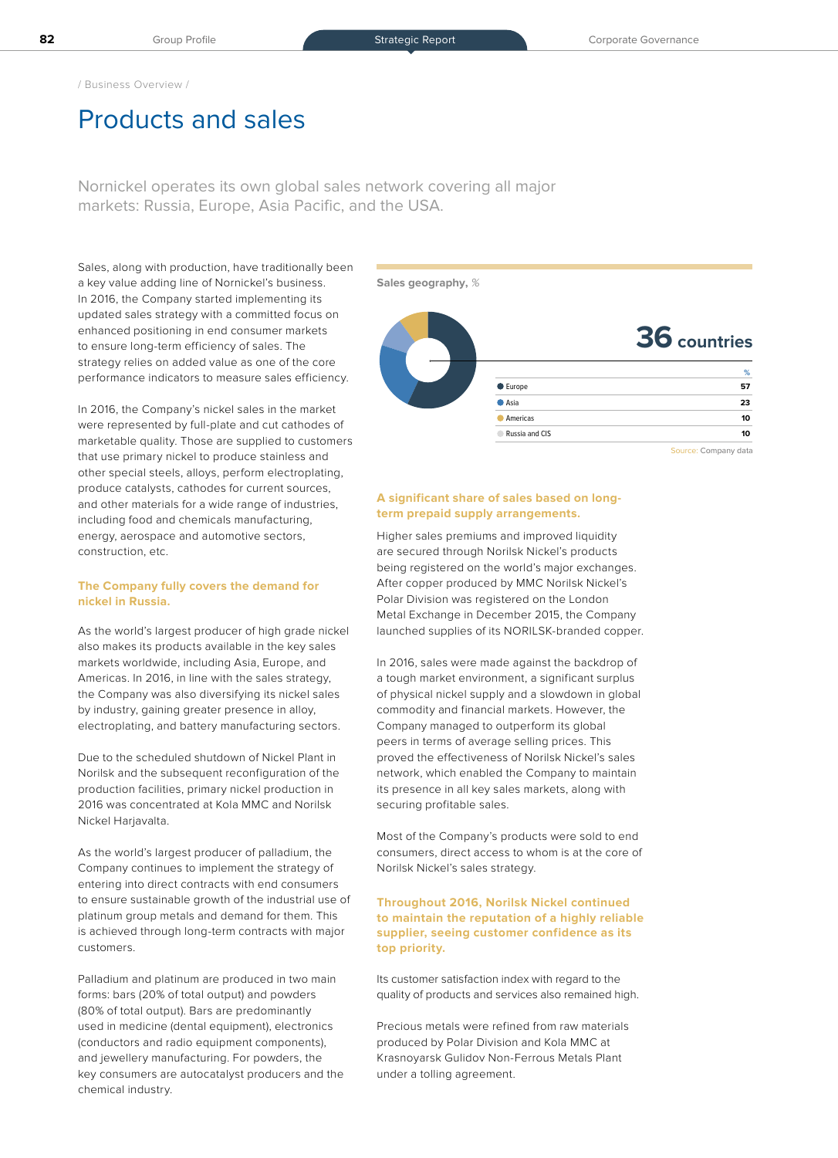/ Business Overview /

# Products and sales

Nornickel operates its own global sales network covering all major markets: Russia, Europe, Asia Pacific, and the USA.

Sales, along with production, have traditionally been a key value adding line of Nornickel's business. In 2016, the Company started implementing its updated sales strategy with a committed focus on enhanced positioning in end consumer markets to ensure long-term efficiency of sales. The strategy relies on added value as one of the core performance indicators to measure sales efficiency.

In 2016, the Company's nickel sales in the market were represented by full-plate and cut cathodes of marketable quality. Those are supplied to customers that use primary nickel to produce stainless and other special steels, alloys, perform electroplating, produce catalysts, cathodes for current sources, and other materials for a wide range of industries, including food and chemicals manufacturing, energy, aerospace and automotive sectors, construction, etc.

#### **The Company fully covers the demand for nickel in Russia.**

As the world's largest producer of high grade nickel also makes its products available in the key sales markets worldwide, including Asia, Europe, and Americas. In 2016, in line with the sales strategy, the Company was also diversifying its nickel sales by industry, gaining greater presence in alloy, electroplating, and battery manufacturing sectors.

Due to the scheduled shutdown of Nickel Plant in Norilsk and the subsequent reconfiguration of the production facilities, primary nickel production in 2016 was concentrated at Kola MMC and Norilsk Nickel Harjavalta.

As the world's largest producer of palladium, the Company continues to implement the strategy of entering into direct contracts with end consumers to ensure sustainable growth of the industrial use of platinum group metals and demand for them. This is achieved through long-term contracts with major customers.

Palladium and platinum are produced in two main forms: bars (20% of total output) and powders (80% of total output). Bars are predominantly used in medicine (dental equipment), electronics (conductors and radio equipment components), and jewellery manufacturing. For powders, the key consumers are autocatalyst producers and the chemical industry.

**Sales geography,** %



Source: Company data

#### **A significant share of sales based on longterm prepaid supply arrangements.**

Higher sales premiums and improved liquidity are secured through Norilsk Nickel's products being registered on the world's major exchanges. After copper produced by MMC Norilsk Nickel's Polar Division was registered on the London Metal Exchange in December 2015, the Company launched supplies of its NORILSK-branded copper.

In 2016, sales were made against the backdrop of a tough market environment, a significant surplus of physical nickel supply and a slowdown in global commodity and financial markets. However, the Company managed to outperform its global peers in terms of average selling prices. This proved the effectiveness of Norilsk Nickel's sales network, which enabled the Company to maintain its presence in all key sales markets, along with securing profitable sales.

Most of the Company's products were sold to end consumers, direct access to whom is at the core of Norilsk Nickel's sales strategy.

### **Throughout 2016, Norilsk Nickel continued to maintain the reputation of a highly reliable supplier, seeing customer confidence as its top priority.**

Its customer satisfaction index with regard to the quality of products and services also remained high.

Precious metals were refined from raw materials produced by Polar Division and Kola MMC at Krasnoyarsk Gulidov Non-Ferrous Metals Plant under a tolling agreement.